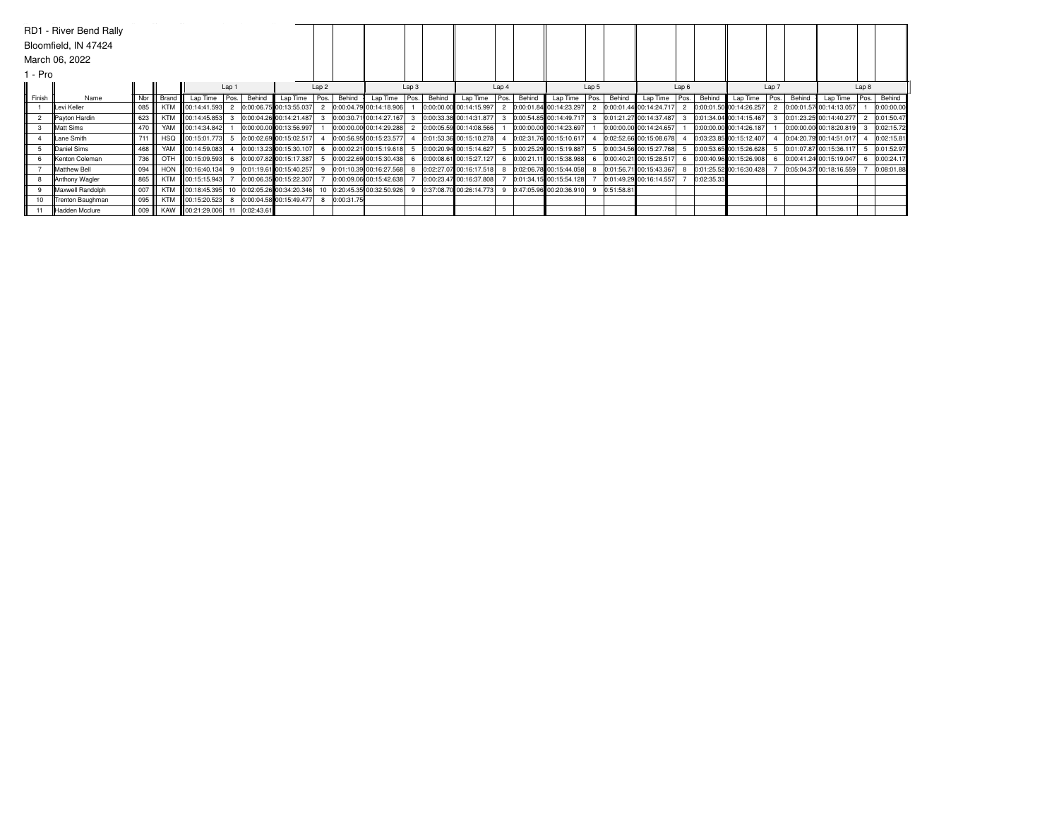|         | RD1 - River Bend Rally |     |       |                   |                |               |                         |                  |            |                           |       |        |                         |       |        |                                                     |       |            |                         |                  |            |                           |       |        |                         |       |            |
|---------|------------------------|-----|-------|-------------------|----------------|---------------|-------------------------|------------------|------------|---------------------------|-------|--------|-------------------------|-------|--------|-----------------------------------------------------|-------|------------|-------------------------|------------------|------------|---------------------------|-------|--------|-------------------------|-------|------------|
|         | Bloomfield, IN 47424   |     |       |                   |                |               |                         |                  |            |                           |       |        |                         |       |        |                                                     |       |            |                         |                  |            |                           |       |        |                         |       |            |
|         | March 06, 2022         |     |       |                   |                |               |                         |                  |            |                           |       |        |                         |       |        |                                                     |       |            |                         |                  |            |                           |       |        |                         |       |            |
| l - Pro |                        |     |       |                   |                |               |                         |                  |            |                           |       |        |                         |       |        |                                                     |       |            |                         |                  |            |                           |       |        |                         |       |            |
|         |                        |     |       |                   | Lap 1          |               |                         | Lap <sub>2</sub> |            |                           | Lap 3 |        |                         | Lap 4 |        |                                                     | Lap 5 |            |                         | Lap <sub>6</sub> |            |                           | Lap 7 |        |                         | Lap 8 |            |
| Finish  | Name                   | Nbr | Brand | Lap Time Pos.     |                | Behind        | Lap Time                | Pos.             | Behind     | Lap Time Pos.             |       | Behind | Lap Time                | Pos.  | Behind | Lap Time   Pos.                                     |       | Behind     | Lap Time                | Pos.             | Behind     | Lap Time                  | Pos.  | Behind | Lap Time                | Pos.  | Behind     |
|         | Levi Keller            | 085 |       | KTM 00:14:41.593  | $\overline{2}$ |               | 0:00:06.75 00:13:55.037 |                  |            | 2 0:00:04.79 00:14:18.906 |       |        | 0:00:00.00 00:14:15.997 |       |        | 2 0:00:01.84 00:14:23.297 2 0:00:01.44 00:14:24.717 |       |            |                         |                  |            | 2 0:00:01.50 00:14:26.257 |       |        | 0:00:01.57 00:14:13.057 |       | 0:00:00.00 |
|         | Payton Hardin          | 623 |       | KTM 00:14:45.853  |                |               | 0:00:04.26 00:14:21.487 |                  |            | 0:00:30.71 00:14:27.167   |       |        | 0:00:33.38 00:14:31.877 |       |        | 0:00:54.85 00:14:49.717 3                           |       |            | 0:01:21.27 00:14:37.487 |                  |            | 0:01:34.04 00:14:15.467   |       |        | 0:01:23.25 00:14:40.277 |       | 0:01:50.47 |
|         | Matt Sims              | 470 | YAM   | 00:14:34.842      |                |               | 0:00:00.00 00:13:56.997 |                  |            | 0:00:00.00 00:14:29.288   |       |        | 0:00:05.59 00:14:08.566 |       |        | 0:00:00.00 00:14:23.697                             |       |            | 0:00:00.00 00:14:24.657 |                  |            | 0:00:00.00 00:14:26.187   |       |        | 0:00:00.00 00:18:20.819 |       | 0:02:15.72 |
|         | Lane Smith             | 711 |       | HSQ 100:15:01.773 |                |               | 0:00:02.69 00:15:02.517 |                  |            | 0:00:56.95 00:15:23.577   |       |        | 0:01:53.36 00:15:10.278 |       |        | 0:02:31.76 00:15:10.617                             |       |            | 0:02:52.66 00:15:08.678 |                  |            | 0:03:23.85 00:15:12.407   |       |        | 0:04:20.79 00:14:51.017 |       | 0:02:15.81 |
|         | Daniel Sims            | 468 |       | YAM 00:14:59.083  |                |               | 0:00:13.23 00:15:30.107 |                  |            | 0:00:02.21 00:15:19.618   |       |        | 0:00:20.94 00:15:14.627 |       |        | 0:00:25.29 00:15:19.887                             |       |            | 0:00:34.56 00:15:27.768 |                  |            | 0:00:53.65 00:15:26.628   |       |        | 0:01:07.87 00:15:36.117 |       | 0:01:52.97 |
|         | <b>Kenton Coleman</b>  | 736 |       | OTH 00:15:09.593  |                |               | 0:00:07.82 00:15:17.387 |                  |            | 0:00:22.69 00:15:30.438   |       |        | 0:00:08.61 00:15:27.127 |       |        | 0:00:21.11 00:15:38.988                             |       |            | 0:00:40.21 00:15:28.517 |                  |            | 0:00:40.96 00:15:26.908   |       |        | 0:00:41.24 00:15:19.047 |       | 0:00:24.17 |
|         | Matthew Bell           | 094 |       | HON 00:16:40.134  | -9             |               | 0:01:19.61 00:15:40.257 |                  |            | 0:01:10.39 00:16:27.568   |       |        | 0:02:27.07 00:16:17.518 | -8    |        | 0:02:06.78 00:15:44.058 8                           |       |            | 0:01:56.71 00:15:43.367 |                  |            | 0:01:25.52 00:16:30.428   |       |        | 0:05:04.37 00:18:16.559 |       | 0:08:01.88 |
|         | Anthony Wagler         | 865 |       | KTM 00:15:15.943  |                |               | 0:00:06.35 00:15:22.307 |                  |            | 0:00:09.06 00:15:42.638   |       |        | 0:00:23.47 00:16:37.808 |       |        | 0:01:34.15 00:15:54.128                             |       |            | 0:01:49.29 00:16:14.557 |                  | 0:02:35.33 |                           |       |        |                         |       |            |
|         | Maxwell Randolph       | 007 |       | KTM 00:18:45.395  |                |               | 0:02:05.26 00:34:20.346 |                  |            | 0:20:45.35 00:32:50.926   |       |        | 0:37:08.70 00:26:14.773 |       |        | 0:47:05.96 00:20:36.910 9                           |       | 0:51:58.81 |                         |                  |            |                           |       |        |                         |       |            |
|         | Trenton Baughman       | 095 |       | KTM 00:15:20.523  | 8              |               | 0:00:04.58 00:15:49.477 |                  | 0:00:31.75 |                           |       |        |                         |       |        |                                                     |       |            |                         |                  |            |                           |       |        |                         |       |            |
|         | Hadden Mcclure         | 009 |       | KAW 100:21:29.006 |                | 11 0:02:43.61 |                         |                  |            |                           |       |        |                         |       |        |                                                     |       |            |                         |                  |            |                           |       |        |                         |       |            |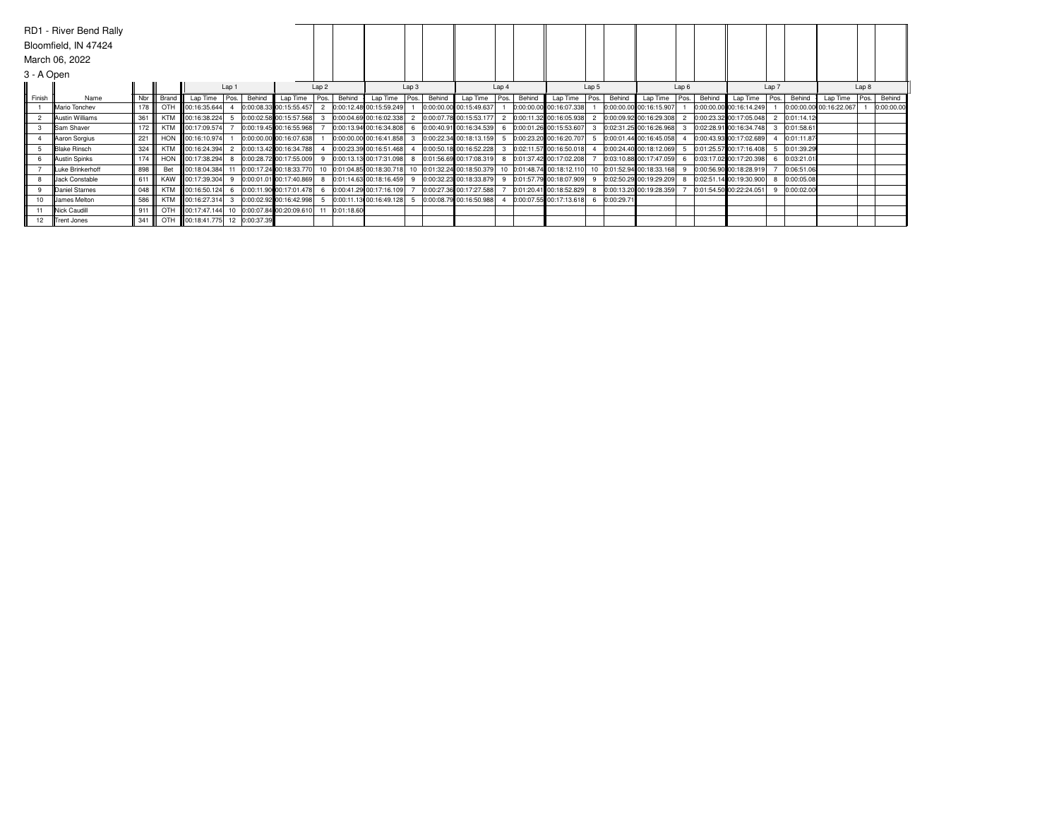|            | RD1 - River Bend Rally |     |            |                                |              |        |                            |                  |               |                                                                                           |       |        |                         |       |        |                                                       |       |        |                         |                  |        |                           |       |            |                         |       |            |
|------------|------------------------|-----|------------|--------------------------------|--------------|--------|----------------------------|------------------|---------------|-------------------------------------------------------------------------------------------|-------|--------|-------------------------|-------|--------|-------------------------------------------------------|-------|--------|-------------------------|------------------|--------|---------------------------|-------|------------|-------------------------|-------|------------|
|            | Bloomfield, IN 47424   |     |            |                                |              |        |                            |                  |               |                                                                                           |       |        |                         |       |        |                                                       |       |        |                         |                  |        |                           |       |            |                         |       |            |
|            | March 06, 2022         |     |            |                                |              |        |                            |                  |               |                                                                                           |       |        |                         |       |        |                                                       |       |        |                         |                  |        |                           |       |            |                         |       |            |
| 3 - A Open |                        |     |            |                                |              |        |                            |                  |               |                                                                                           |       |        |                         |       |        |                                                       |       |        |                         |                  |        |                           |       |            |                         |       |            |
|            |                        |     |            |                                | Lap 1        |        |                            | Lap <sub>2</sub> |               |                                                                                           | Lap 3 |        |                         | Lap 4 |        |                                                       | Lap 5 |        |                         | Lap <sub>6</sub> |        |                           | Lap 7 |            |                         | Lap 8 |            |
| Finish     | Name                   | Nbr | Brand      | Lap Time Pos.                  |              | Behind | Lap Time                   | Pos.             | Behind        | Lap Time Pos.                                                                             |       | Behind | Lap Time                | Pos.  | Behind | Lap Time   Pos.                                       |       | Behind | Lap Time                | Pos.             | Behind | Lap Time                  | Pos.  | Behind     | Lap Time                | Pos.  | Behind     |
|            | Mario Tonchev          | 178 |            | OTH 00:16:35.644               |              |        | 0:00:08.33 00:15:55.457    |                  |               | 2 0:00:12.48 00:15:59.249                                                                 |       |        | 0:00:00.00 00:15:49.637 |       |        | 0:00:00.00 00:16:07.338                               |       |        | 0:00:00.00 00:16:15.907 |                  |        | 0:00:00.00 00:16:14.249   |       |            | 0:00:00.00 00:16:22.067 |       | 0:00:00.00 |
|            | Austin Williams        | 361 |            | KTM 00:16:38.224               |              |        | 0:00:02.58 00:15:57.568    |                  |               | 0:00:04.69 00:16:02.338                                                                   |       |        | 0:00:07.78 00:15:53.177 |       |        | 2 0:00:11.32 00:16:05.938 2                           |       |        | 0:00:09.92 00:16:29.308 |                  |        | 2 0:00:23.32 00:17:05.048 |       | 0:01:14.12 |                         |       |            |
|            | Sam Shaver             | 172 |            | KTM 00:17:09.574               |              |        | 0:00:19.45 00:16:55.968    |                  |               | 0:00:13.94 00:16:34.808                                                                   |       |        | 0:00:40.91 00:16:34.539 | -6    |        | 0:00:01.26 00:15:53.607 3                             |       |        | 0:02:31.25 00:16:26.968 |                  |        | 0:02:28.91 00:16:34.748   |       | 0:01:58.61 |                         |       |            |
|            | Aaron Sorgius          | 221 | <b>HON</b> | 00:16:10.974                   |              |        | 0:00:00.00 00:16:07.638    |                  |               | 0:00:00.00 00:16:41.858                                                                   |       |        | 0:00:22.34 00:18:13.159 |       |        | 0:00:23.20 00:16:20.707 5                             |       |        | 0:00:01.44 00:16:45.058 |                  |        | 0:00:43.93 00:17:02.689   |       | 0:01:11.87 |                         |       |            |
|            | <b>Blake Rinsch</b>    | 324 |            | KTM 00:16:24.394               |              |        | 0:00:13.42 00:16:34.788    |                  |               | 0:00:23.39 00:16:51.468                                                                   |       |        | 0:00:50.18 00:16:52.228 |       |        | 0:02:11.57 00:16:50.018 4                             |       |        | 0:00:24.40 00:18:12.069 |                  |        | 0:01:25.57 00:17:16.408   |       | 0:01:39.29 |                         |       |            |
|            | Austin Spinks          | 174 |            | HON 00:17:38.294               |              |        | 0:00:28.72 00:17:55.009    |                  |               | $ 0:00:13.13 00:17:31.098 $ 8 $ 0:01:56.69 00:17:08.319 $ 8 $ 0:01:37.42 00:17:02.208 $ 7 |       |        |                         |       |        |                                                       |       |        | 0:03:10.88 00:17:47.059 | 6.               |        | 0:03:17.02 00:17:20.398   |       | 0:03:21.01 |                         |       |            |
|            | Luke Brinkerhoff       | 898 | Bet        | 00:18:04.384                   | 11           |        | 0:00:17.24 00:18:33.770    |                  |               | 10 0:01:04.85 00:18:30.718 10 0:01:32.24 00:18:50.379                                     |       |        |                         |       |        | 10 0:01:48.74 00:18:12.110 10 0:01:52.94 00:18:33.168 |       |        |                         |                  |        | 0:00:56.90 00:18:28.919   |       | 0:06:51.06 |                         |       |            |
|            | Jack Constable         | 611 |            | KAW 00:17:39.304               | -9           |        | 0:00:01.01 00:17:40.869    |                  |               | 0:01:14.63 00:18:16.459                                                                   | -9    |        | 0:00:32.23 00:18:33.879 | -9    |        | 0:01:57.79 00:18:07.909 9                             |       |        | 0:02:50.29 00:19:29.209 |                  |        | 0:02:51.14 00:19:30.900   |       | 0:00:05.08 |                         |       |            |
|            | Daniel Starnes         | 048 |            | KTM 00:16:50.124               | - 6          |        | 0:00:11.90 00:17:01.478    |                  |               | 6 0:00:41.29 00:17:16.109                                                                 |       |        | 0:00:27.36 00:17:27.588 |       |        | 0:01:20.41 00:18:52.829 8 0:00:13.20 00:19:28.359     |       |        |                         |                  |        | 0:01:54.50 00:22:24.051   |       | 0:00:02.00 |                         |       |            |
|            | <b>James Melton</b>    | 586 |            | KTM 00:16:27.314               | $\mathbf{3}$ |        | 0:00:02.92 00:16:42.998    | -5               |               | 0:00:11.13 00:16:49.128                                                                   | -5    |        | 0:00:08.79 00:16:50.988 |       |        | 0:00:07.55 00:17:13.618 6 0:00:29.71                  |       |        |                         |                  |        |                           |       |            |                         |       |            |
|            | Nick Caudill           | 911 |            | OTH 00:17:47.144               |              |        | 10 0:00:07.84 00:20:09.610 |                  | 11 0:01:18.60 |                                                                                           |       |        |                         |       |        |                                                       |       |        |                         |                  |        |                           |       |            |                         |       |            |
|            | Trent Jones            | 341 |            | OTH 00:18:41.775 12 0:00:37.39 |              |        |                            |                  |               |                                                                                           |       |        |                         |       |        |                                                       |       |        |                         |                  |        |                           |       |            |                         |       |            |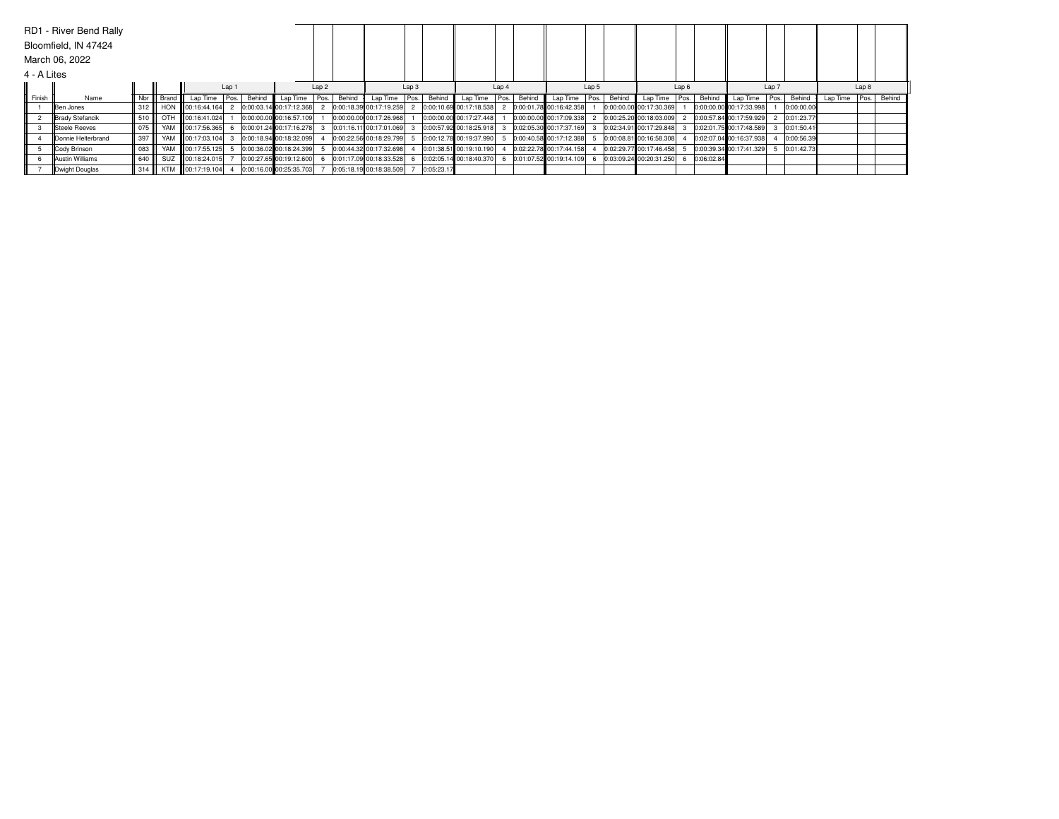|             | RD1 - River Bend Rally |     |            |                            |                  |        |                         |                  |        |                         |                  |            |                         |       |        |                         |       |        |                           |                  |            |                         |       |            |               |       |        |
|-------------|------------------------|-----|------------|----------------------------|------------------|--------|-------------------------|------------------|--------|-------------------------|------------------|------------|-------------------------|-------|--------|-------------------------|-------|--------|---------------------------|------------------|------------|-------------------------|-------|------------|---------------|-------|--------|
|             | Bloomfield, IN 47424   |     |            |                            |                  |        |                         |                  |        |                         |                  |            |                         |       |        |                         |       |        |                           |                  |            |                         |       |            |               |       |        |
|             | March 06, 2022         |     |            |                            |                  |        |                         |                  |        |                         |                  |            |                         |       |        |                         |       |        |                           |                  |            |                         |       |            |               |       |        |
| 4 - A Lites |                        |     |            |                            |                  |        |                         |                  |        |                         |                  |            |                         |       |        |                         |       |        |                           |                  |            |                         |       |            |               |       |        |
|             |                        |     |            |                            | Lap <sub>1</sub> |        |                         | Lap <sub>2</sub> |        |                         | Lap <sub>3</sub> |            |                         | Lap 4 |        |                         | Lap 5 |        |                           | Lap <sub>6</sub> |            |                         | Lap 7 |            |               | Lap 8 |        |
| Finish      | Name                   | Nbr | Brand      | Lap Time Pos.              |                  | Behind | Lap Time   Pos.         |                  | Behind | Lap Time   Pos.         |                  | Behind     | Lap Time Pos.           |       | Behind | Lap Time                | Pos.  | Behind | Lap Time Pos.             |                  | Behind     | Lap Time                | Pos.  | Behind     | Lap Time Pos. |       | Behind |
|             | Ben Jones              | 312 |            | HON 100:16:44.164          |                  |        | 0:00:03.14 00:17:12.368 |                  |        | 0:00:18.39 00:17:19.259 |                  |            | 0:00:10.69 00:17:18.538 |       |        | 0:00:01.78 00:16:42.358 |       |        | 0:00:00.00 00:17:30.369   |                  |            | 0:00:00.00 00:17:33.998 |       | 0:00:00.00 |               |       |        |
|             | Brady Stefancik        | 510 |            | OTH 100:16:41.024          |                  |        | 0:00:00.00 00:16:57.109 |                  |        | 0:00:00.00 00:17:26.968 |                  |            | 0:00:00.00 00:17:27.448 |       |        | 0:00:00.00 00:17:09.338 |       |        | 0:00:25.20 00:18:03.009   |                  |            | 0:00:57.84 00:17:59.929 |       | 0:01:23.77 |               |       |        |
|             | Steele Reeves          | 075 |            | YAM 00:17:56.365           |                  |        | 0:00:01.24 00:17:16.278 |                  |        | 0:01:16.11 00:17:01.069 |                  |            | 0:00:57.92 00:18:25.918 |       |        | 0:02:05.30 00:17:37.169 |       |        | 0:02:34.91 00:17:29.848 3 |                  |            | 0:02:01.75 00:17:48.589 |       | 0:01:50.41 |               |       |        |
|             | Donnie Helterbrand     | 397 |            | YAM 100:17:03.104          |                  |        | 0:00:18.94 00:18:32.099 |                  |        | 0:00:22.56 00:18:29.799 |                  |            | 0:00:12.78 00:19:37.990 |       |        | 0:00:40.58 00:17:12.388 |       |        | 0:00:08.81 00:16:58.308   |                  |            | 0:02:07.04 00:16:37.938 |       | 0:00:56.39 |               |       |        |
|             | Cody Brinson           | 083 |            | YAM 00:17:55.125           |                  |        | 0:00:36.02 00:18:24.399 |                  |        | 0:00:44.32 00:17:32.698 |                  |            | 0:01:38.51 00:19:10.190 |       |        | 0:02:22.78 00:17:44.158 |       |        | 0:02:29.77 00:17:46.458   |                  |            | 0:00:39.34 00:17:41.329 |       | 0:01:42.73 |               |       |        |
|             | <b>Austin Williams</b> | 640 | <b>SUZ</b> | $\frac{1}{2}$ 00:18:24.015 |                  |        | 0:00:27.65 00:19:12.600 |                  |        | 0:01:17.09 00:18:33.528 |                  |            | 0:02:05.14 00:18:40.370 |       |        | 0:01:07.52 00:19:14.109 |       |        | 0:03:09.24 00:20:31.250   |                  | 0:06:02.84 |                         |       |            |               |       |        |
|             | Dwight Douglas         | 314 | <b>KTM</b> | 00:17:19.104               |                  |        | 0:00:16.00 00:25:35.703 |                  |        | 0:05:18.19 00:18:38.509 |                  | 0:05:23.17 |                         |       |        |                         |       |        |                           |                  |            |                         |       |            |               |       |        |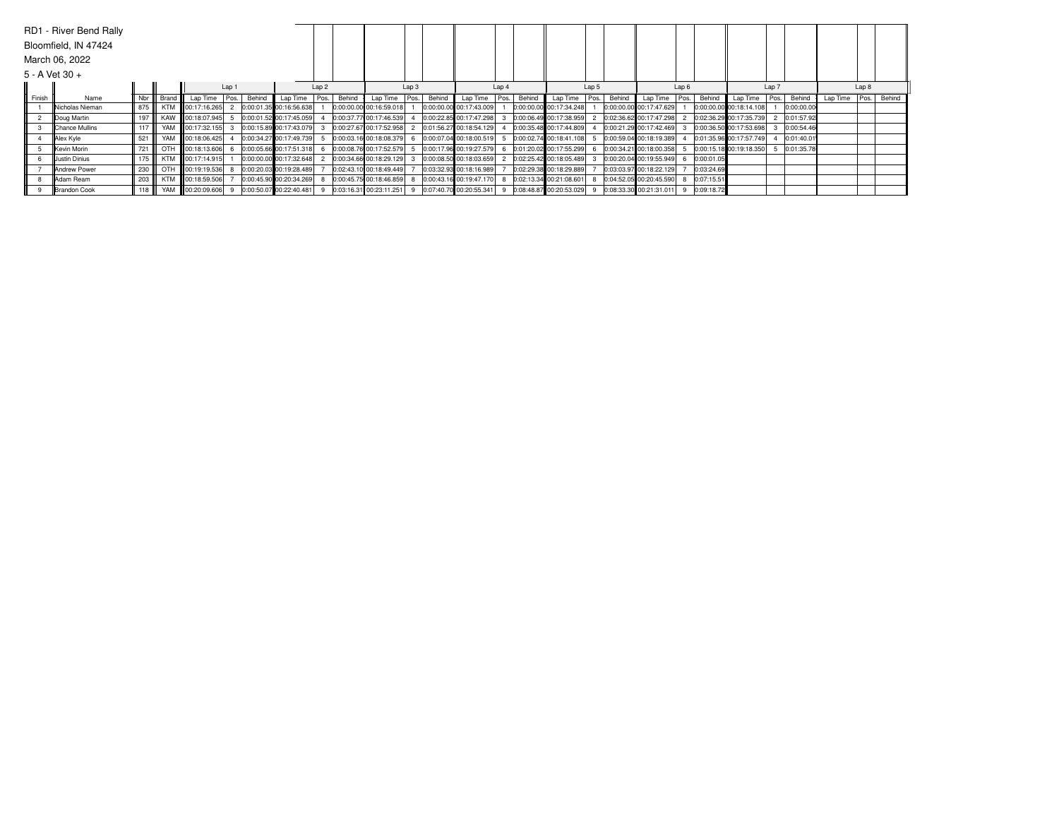|                  | RD1 - River Bend Rally  |     |            |                         |       |        |                         |                  |        |                         |       |        |                         |       |        |                         |          |        |                           |                  |            |                         |       |            |          |       |        |
|------------------|-------------------------|-----|------------|-------------------------|-------|--------|-------------------------|------------------|--------|-------------------------|-------|--------|-------------------------|-------|--------|-------------------------|----------|--------|---------------------------|------------------|------------|-------------------------|-------|------------|----------|-------|--------|
|                  | Bloomfield, IN 47424    |     |            |                         |       |        |                         |                  |        |                         |       |        |                         |       |        |                         |          |        |                           |                  |            |                         |       |            |          |       |        |
|                  | March 06, 2022          |     |            |                         |       |        |                         |                  |        |                         |       |        |                         |       |        |                         |          |        |                           |                  |            |                         |       |            |          |       |        |
| $5 - A$ Vet 30 + |                         |     |            |                         |       |        |                         |                  |        |                         |       |        |                         |       |        |                         |          |        |                           |                  |            |                         |       |            |          |       |        |
|                  |                         |     |            |                         | Lap 1 |        |                         | Lap <sub>2</sub> |        |                         | Lap 3 |        |                         | Lap 4 |        |                         | Lap 5    |        |                           | Lap <sub>6</sub> |            |                         | Lap 7 |            |          | Lap 8 |        |
| Finish           | Name                    | Nbr | Brand      | Lap Time                | Pos.  | Behind | Lap Time                | Pos.             | Behind | Lap Time                | Pos.  | Behind | Lap Time                | Pos.  | Behind | Lap Time                | l Pos. I | Behind | Lap Time                  | Pos.             | Behind     | Lap Time                | Pos.  | Behind     | Lap Time | Pos.  | Behind |
|                  | <b>INicholas Nieman</b> | 875 | <b>KTM</b> | 00:17:16.265            |       |        | 0:00:01.35 00:16:56.638 |                  |        | 0:00:00.00 00:16:59.018 |       |        | 0:00:00.00 00:17:43.009 |       |        | 0:00:00.00 00:17:34.248 |          |        | 0:00:00.00 00:17:47.629   |                  |            | 0:00:00.00 00:18:14.108 |       | 0:00:00.00 |          |       |        |
|                  | Doug Martin             | 197 |            | KAW 100:18:07.945       |       |        | 0:00:01.52 00:17:45.059 |                  |        | 0:00:37.77 00:17:46.539 |       |        | 0:00:22.85 00:17:47.298 |       |        | 0:00:06.49 00:17:38.959 |          |        | 0:02:36.62 00:17:47.298 2 |                  |            | 0:02:36.29 00:17:35.739 |       | 0:01:57.92 |          |       |        |
|                  | <b>IChance Mullins</b>  | 117 |            | YAM 100:17:32.155       |       |        | 0:00:15.89 00:17:43.079 |                  |        | 0:00:27.67 00:17:52.958 |       |        | 0:01:56.27 00:18:54.129 |       |        | 0:00:35.48 00:17:44.809 |          |        | 0:00:21.29 00:17:42.469   |                  |            | 0:00:36.50 00:17:53.698 |       | 0:00:54.46 |          |       |        |
|                  | Alex Kyle               | 521 | YAM        | 00:18:06.425            |       |        | 0:00:34.27 00:17:49.739 |                  |        | 0:00:03.16 00:18:08.379 |       |        | 0:00:07.04 00:18:00.519 |       |        | 0:00:02.74 00:18:41.108 |          |        | 0:00:59.04 00:18:19.389   |                  |            | 0:01:35.96 00:17:57.749 |       | 0:01:40.01 |          |       |        |
|                  | <b>Kevin Morin</b>      | 721 |            | OTH 00:18:13.606        |       |        | 0:00:05.66 00:17:51.318 |                  |        | 0:00:08.76 00:17:52.579 |       |        | 0:00:17.96 00:19:27.579 |       |        | 0:01:20.02 00:17:55.299 |          |        | 0:00:34.21 00:18:00.358   |                  |            | 0:00:15.18 00:19:18.350 |       | 0:01:35.78 |          |       |        |
|                  | Uustin Dinius           | 175 |            | KTM 00:17:14.915        |       |        | 0:00:00.00 00:17:32.648 |                  |        | 0:00:34.66 00:18:29.129 |       |        | 0:00:08.50 00:18:03.659 |       |        | 0:02:25.42 00:18:05.489 |          |        | 0:00:20.04 00:19:55.949 6 |                  | 0:00:01.05 |                         |       |            |          |       |        |
|                  | <b>Andrew Power</b>     | 230 | OTH        | 00:19:19.536            |       |        | 0:00:20.03 00:19:28.489 |                  |        | 0:02:43.10 00:18:49.449 |       |        | 0:03:32.93 00:18:16.989 |       |        | 0:02:29.38 00:18:29.889 |          |        | 0:03:03.97 00:18:22.129   |                  | 0:03:24.69 |                         |       |            |          |       |        |
|                  | Adam Ream               | 203 | <b>KTM</b> | 00:18:59.506            |       |        | 0:00:45.90 00:20:34.269 |                  |        | 0:00:45.75 00:18:46.859 |       |        | 0:00:43.16 00:19:47.170 |       |        | 0:02:13.34 00:21:08.601 |          |        | 0:04:52.05 00:20:45.590 8 |                  | 0:07:15.51 |                         |       |            |          |       |        |
|                  | <b>IBrandon Cook</b>    | 118 | YAM        | <b>III</b> 00:20:09.606 |       |        | 0:00:50.07 00:22:40.481 |                  |        | 0:03:16.31 00:23:11.251 |       |        | 0:07:40.70 00:20:55.341 |       |        | 0:08:48.87 00:20:53.029 |          |        | 0:08:33.30 00:21:31.011 9 |                  | 0:09:18.72 |                         |       |            |          |       |        |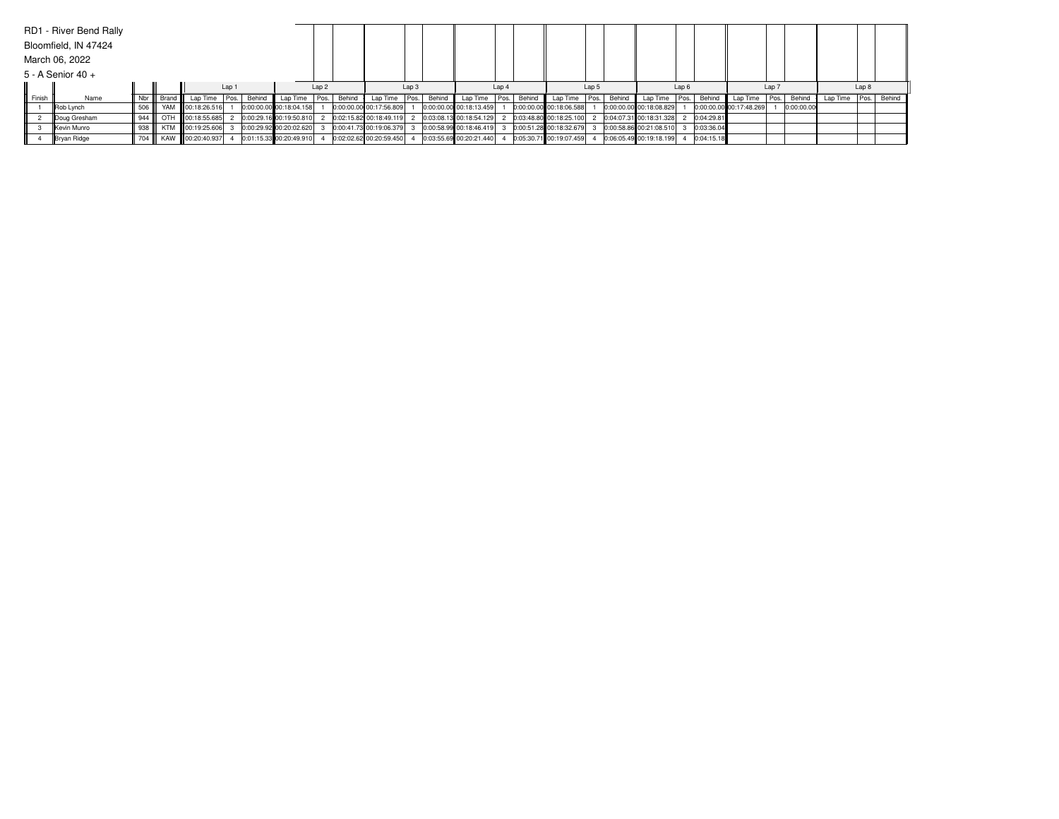|        | RD1 - River Bend Rally |        |           |                   |       |        |                         |                  |        |                         |       |             |                         |       |        |                         |       |        |                           |                  |            |                         |       |            |                 |       |        |
|--------|------------------------|--------|-----------|-------------------|-------|--------|-------------------------|------------------|--------|-------------------------|-------|-------------|-------------------------|-------|--------|-------------------------|-------|--------|---------------------------|------------------|------------|-------------------------|-------|------------|-----------------|-------|--------|
|        | Bloomfield, IN 47424   |        |           |                   |       |        |                         |                  |        |                         |       |             |                         |       |        |                         |       |        |                           |                  |            |                         |       |            |                 |       |        |
|        | March 06, 2022         |        |           |                   |       |        |                         |                  |        |                         |       |             |                         |       |        |                         |       |        |                           |                  |            |                         |       |            |                 |       |        |
|        | $5 - A$ Senior 40 +    |        |           |                   |       |        |                         |                  |        |                         |       |             |                         |       |        |                         |       |        |                           |                  |            |                         |       |            |                 |       |        |
|        |                        |        |           |                   | Lap 1 |        |                         | Lap <sub>2</sub> |        |                         | Lap 3 |             |                         | Lap 4 |        |                         | Lap 5 |        |                           | Lap <sub>6</sub> |            |                         | Lap 7 |            |                 | Lap 8 |        |
| Finish | Name                   | Nbr    | Brand III | Lap Time   Pos.   |       | Behind | Lap Time   Pos.         |                  | Behind | Lap Time                |       | Pos. Behind | Lap Time Pos.           |       | Behind | Lap Time   Pos.         |       | Behind | Lap Time   Pos.           |                  | Behind     | Lap Time                | Pos.  | Behind     | Lap Time   Pos. |       | Behind |
|        | Rob Lynch              | 506    |           | YAM 100:18:26.516 |       |        | 0:00:00.00 00:18:04.158 |                  |        | 0:00:00.00 00:17:56.809 |       |             | 0:00:00.00 00:18:13.459 |       |        | 0:00:00.00 00:18:06.588 |       |        | 0:00:00.00 00:18:08.829   |                  |            | 0:00:00.00 00:17:48.269 |       | 0:00:00.00 |                 |       |        |
|        | Doug Gresham           | 944    |           | OTH 00:18:55.685  |       |        | 0:00:29.16 00:19:50.810 |                  |        | 0:02:15.82 00:18:49.119 |       |             | 0:03:08.13 00:18:54.129 |       |        | 0:03:48.80 00:18:25.100 |       |        | 0:04:07.31 00:18:31.328 2 |                  | 0:04:29.81 |                         |       |            |                 |       |        |
|        | <b>IKevin Munro</b>    | 938    |           | KTM 00:19:25.606  |       |        | 0:00:29.92 00:20:02.620 |                  |        | 0:00:41.73 00:19:06.379 |       |             | 0:00:58.99 00:18:46.419 |       |        | 0:00:51.28 00:18:32.679 |       |        | 0:00:58.86 00:21:08.510 3 |                  | 0:03:36.04 |                         |       |            |                 |       |        |
|        | Bryan Ridge            | 704 II |           | KAW 100:20:40.937 |       |        | 0:01:15.33 00:20:49.910 |                  |        | 0:02:02.62 00:20:59.450 |       |             | 0:03:55.69 00:20:21.440 |       |        | 0:05:30.71 00:19:07.459 |       |        | 0:06:05.49 00:19:18.199   |                  | 0:04:15.18 |                         |       |            |                 |       |        |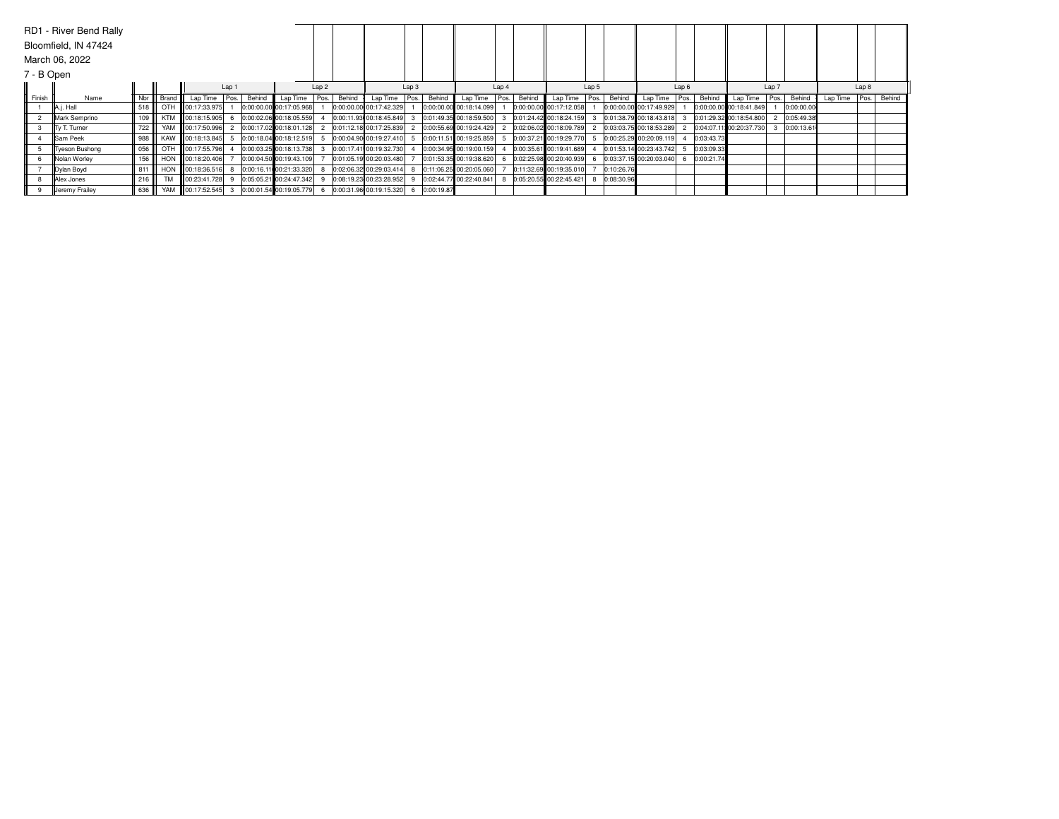|            | RD1 - River Bend Rally |     |            |                   |       |        |                         |                  |        |                         |       |            |                         |       |        |                         |       |            |                             |                  |            |                         |       |            |          |       |        |
|------------|------------------------|-----|------------|-------------------|-------|--------|-------------------------|------------------|--------|-------------------------|-------|------------|-------------------------|-------|--------|-------------------------|-------|------------|-----------------------------|------------------|------------|-------------------------|-------|------------|----------|-------|--------|
|            | Bloomfield, IN 47424   |     |            |                   |       |        |                         |                  |        |                         |       |            |                         |       |        |                         |       |            |                             |                  |            |                         |       |            |          |       |        |
|            | March 06, 2022         |     |            |                   |       |        |                         |                  |        |                         |       |            |                         |       |        |                         |       |            |                             |                  |            |                         |       |            |          |       |        |
| 7 - B Open |                        |     |            |                   |       |        |                         |                  |        |                         |       |            |                         |       |        |                         |       |            |                             |                  |            |                         |       |            |          |       |        |
|            |                        |     |            |                   | Lap 1 |        |                         | Lap <sub>2</sub> |        |                         | Lap 3 |            |                         | Lap 4 |        |                         | Lap 5 |            |                             | Lap <sub>6</sub> |            |                         | Lap 7 |            |          | Lap 8 |        |
| Finish     | Name                   | Nbr | Brand      | Lap Time          | Pos.  | Behind | Lap Time                | Pos.             | Behind | Lap Time                | Pos.  | Behind     | Lap Time                | Pos.  | Behind | Lap Time                | Pos.  | Behind     | Lap Time                    | Pos.             | Behind     | Lap Time                | Pos.  | Behind     | Lap Time | Pos.  | Behind |
|            | $\parallel$ A.j. Hall  | 518 | OTH        | 00:17:33.975      |       |        | 0:00:00.00 00:17:05.968 |                  |        | 0:00:00.00 00:17:42.329 |       |            | 0:00:00.00 00:18:14.099 |       |        | 0:00:00.00 00:17:12.058 |       |            | 0:00:00.00 00:17:49.929     |                  |            | 0:00:00.00 00:18:41.849 |       | 0:00:00.00 |          |       |        |
|            | Mark Semprino          | 109 | <b>KTM</b> | 00:18:15.905      |       |        | 0:00:02.06 00:18:05.559 |                  |        | 0:00:11.93 00:18:45.849 |       |            | 0:01:49.35 00:18:59.500 |       |        | 0:01:24.42 00:18:24.159 |       |            | $0:01:38.79$ 00:18:43.818 3 |                  |            | 0:01:29.32 00:18:54.800 |       | 0:05:49.38 |          |       |        |
|            | Tv T. Turner           | 722 |            | YAM 100:17:50.996 |       |        | 0:00:17.02 00:18:01.128 |                  |        | 0:01:12.18 00:17:25.839 |       |            | 0:00:55.69 00:19:24.429 |       |        | 0:02:06.02 00:18:09.789 |       |            | 0:03:03.75 00:18:53.289     |                  |            | 0:04:07.11100:20:37.730 |       | 0:00:13.61 |          |       |        |
|            | <b>Sam Peek</b>        | 988 | KAW        | 00:18:13.845      |       |        | 0:00:18.04 00:18:12.519 |                  |        | 0:00:04.90 00:19:27.410 |       |            | 0:00:11.51 00:19:25.859 |       |        | 0:00:37.21 00:19:29.770 |       |            | 0:00:25.29 00:20:09.119     |                  | 0:03:43.73 |                         |       |            |          |       |        |
|            | <b>Tyeson Bushong</b>  | 056 |            | OTH 00:17:55.796  |       |        | 0:00:03.25 00:18:13.738 |                  |        | 0:00:17.41 00:19:32.730 |       |            | 0:00:34.95 00:19:00.159 |       |        | 0:00:35.61 00:19:41.689 |       |            | 0:01:53.14 00:23:43.742     |                  | 0:03:09.33 |                         |       |            |          |       |        |
|            | <b>INolan Worley</b>   | 156 |            | HON 00:18:20.406  |       |        | 0:00:04.50 00:19:43.109 |                  |        | 0:01:05.19 00:20:03.480 |       |            | 0:01:53.35 00:19:38.620 |       |        | 0:02:25.98 00:20:40.939 |       |            | 0:03:37.15 00:20:03.040 6   |                  | 0:00:21.74 |                         |       |            |          |       |        |
|            | Dylan Boyd             | 811 |            | HON 100:18:36.516 |       |        | 0:00:16.11 00:21:33.320 |                  |        | 0:02:06.32 00:29:03.414 |       |            | 0:11:06.25 00:20:05.060 |       |        | 0:11:32.69 00:19:35.010 |       | 0:10:26.76 |                             |                  |            |                         |       |            |          |       |        |
|            | Alex Jones             | 216 | <b>TM</b>  | 00:23:41.728      |       |        | 0:05:05.21 00:24:47.342 |                  |        | 0:08:19.23 00:23:28.952 |       |            | 0:02:44.77 00:22:40.841 |       |        | 0:05:20.55 00:22:45.421 |       | 0:08:30.96 |                             |                  |            |                         |       |            |          |       |        |
|            | Jeremy Frailey         | 636 | YAM        | 00:17:52.545      |       |        | 0:00:01.54 00:19:05.779 |                  |        | 0:00:31.96 00:19:15.320 |       | 0:00:19.87 |                         |       |        |                         |       |            |                             |                  |            |                         |       |            |          |       |        |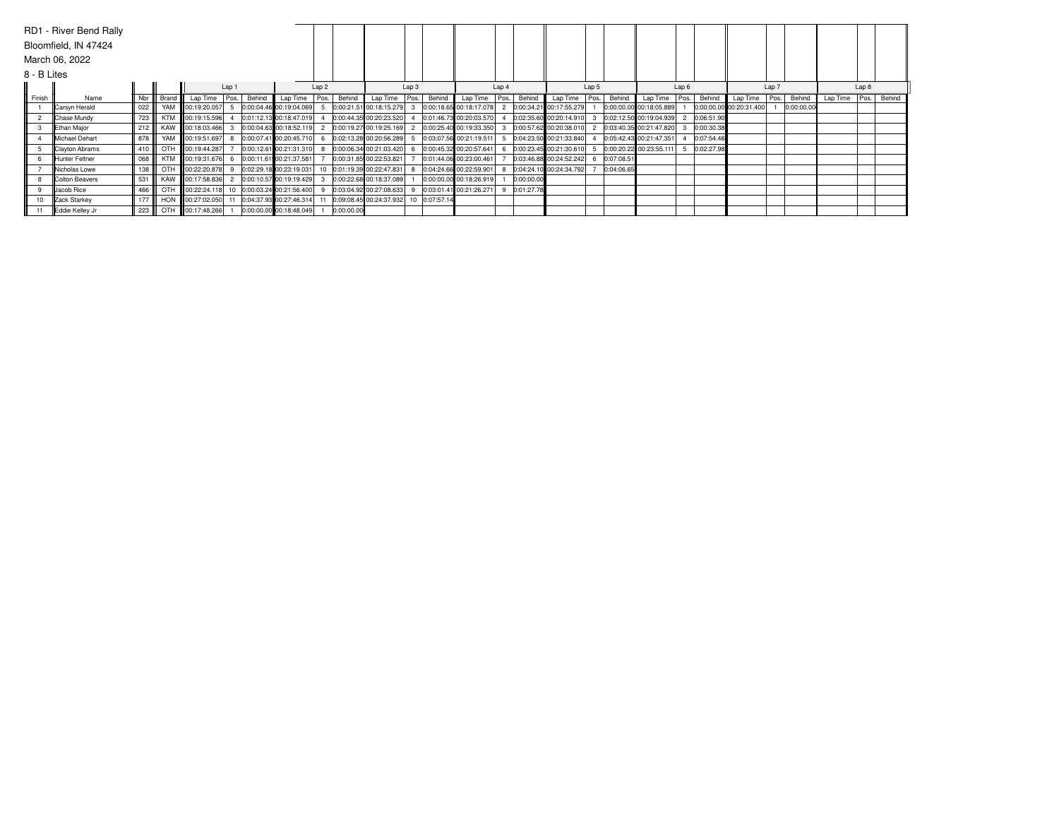|             | RD1 - River Bend Rally |     |            |                                              |       |        |                         |                  |            |                                       |       |        |                         |       |            |                         |       |            |                             |                  |            |                         |       |            |                 |                  |        |
|-------------|------------------------|-----|------------|----------------------------------------------|-------|--------|-------------------------|------------------|------------|---------------------------------------|-------|--------|-------------------------|-------|------------|-------------------------|-------|------------|-----------------------------|------------------|------------|-------------------------|-------|------------|-----------------|------------------|--------|
|             | Bloomfield, IN 47424   |     |            |                                              |       |        |                         |                  |            |                                       |       |        |                         |       |            |                         |       |            |                             |                  |            |                         |       |            |                 |                  |        |
|             | March 06, 2022         |     |            |                                              |       |        |                         |                  |            |                                       |       |        |                         |       |            |                         |       |            |                             |                  |            |                         |       |            |                 |                  |        |
| 8 - B Lites |                        |     |            |                                              |       |        |                         |                  |            |                                       |       |        |                         |       |            |                         |       |            |                             |                  |            |                         |       |            |                 |                  |        |
|             |                        |     |            |                                              | Lap 1 |        |                         | Lap <sub>2</sub> |            |                                       | Lap 3 |        |                         | Lap 4 |            |                         | Lap 5 |            |                             | Lap <sub>6</sub> |            |                         | Lap 7 |            |                 | Lap <sub>8</sub> |        |
| Finish      | Name                   | Nbr | Brand      | Lap Time                                     | Pos.  | Behind | Lap Time                | Pos.             | Behind     | Lap Time                              | Pos.  | Behind | Lap Time                | Pos.  | Behind     | Lap Time                | Pos.  | Behind     | Lap Time                    | Pos.             | Behind     | Lap Time                | Pos.  | Behind     | Lap Time   Pos. |                  | Behind |
|             | Carsyn Herald          | 022 |            | YAM 00:19:20.057                             |       |        | 0:00:04.46 00:19:04.069 |                  |            | 0:00:21.51 00:18:15.279               |       |        | 0:00:18.65 00:18:17.078 |       |            | 0:00:34.21 00:17:55.279 |       |            | 0:00:00.00 00:18:05.889     |                  |            | 0:00:00.00 00:20:31.400 |       | 0:00:00.00 |                 |                  |        |
|             | Chase Mundy            | 723 | <b>KTM</b> | 00:19:15.596                                 |       |        | 0:01:12.13 00:18:47.019 |                  |            | 0:00:44.35 00:20:23.520               |       |        | 0:01:46.73 00:20:03.570 |       |            | 0:02:35.60 00:20:14.910 |       |            | $0:02:12.50$ 00:19:04.939 2 |                  | 0:06:51.90 |                         |       |            |                 |                  |        |
|             | Ethan Major            | 212 | KAW        | 00:18:03.466                                 |       |        | 0:00:04.63 00:18:52.119 |                  |            | 0:00:19.27 00:19:25.169               |       |        | 0:00:25.40 00:19:33.350 |       |            | 0:00:57.62 00:20:38.010 |       |            | 0:03:40.35 00:21:47.820     |                  | 0:00:30.38 |                         |       |            |                 |                  |        |
|             | <b>Michael Dehart</b>  | 878 | YAM        | 00:19:51.697                                 |       |        | 0:00:07.41 00:20:45.710 |                  |            | 0:02:13.28 00:20:56.289               |       |        | 0:03:07.56 00:21:19.511 |       |            | 0:04:23.50 00:21:33.840 |       |            | 0:05:42.43 00:21:47.351     |                  | 0:07:54.46 |                         |       |            |                 |                  |        |
|             | Clayton Abrams         | 410 | OTH        | 00:19:44.287                                 |       |        | 0:00:12.61 00:21:31.310 |                  |            | 0:00:06.34 00:21:03.420               |       |        | 0:00:45.32 00:20:57.641 |       |            | 0:00:23.45 00:21:30.610 |       |            | 0:00:20.22 00:23:55.111     |                  | 0:02:27.98 |                         |       |            |                 |                  |        |
|             | Hunter Feltner         | 068 | <b>KTM</b> | 00:19:31.676                                 |       |        | 0:00:11.61 00:21:37.581 |                  |            | 0:00:31.85 00:22:53.821               |       |        | 0:01:44.06 00:23:00.461 |       |            | 0:03:46.88 00:24:52.242 |       | 0:07:08.51 |                             |                  |            |                         |       |            |                 |                  |        |
|             | <b>Nicholas Lowe</b>   | 138 |            | OTH 00:22:20.878                             |       |        | 0:02:29.18 00:23:19.031 |                  |            | 10 0:01:19.39 00:22:47.831            |       |        | 0:04:24.66 00:22:59.901 |       |            | 0:04:24.10 00:24:34.792 |       | 0:04:06.65 |                             |                  |            |                         |       |            |                 |                  |        |
|             | Colton Beavers         | 531 | KAW        | <b>00:17:58.836</b>                          |       |        | 0:00:10.57 00:19:19.429 |                  |            | 0:00:22.68 00:18:37.089               |       |        | 0:00:00.00 00:18:26.919 |       | 0:00:00.00 |                         |       |            |                             |                  |            |                         |       |            |                 |                  |        |
|             | <b>Jacob Rice</b>      | 466 | OTH        | 00:22:24.118 10 0:00:03.24 00:21:56.400      |       |        |                         |                  |            | 0:03:04.92 00:27:08.633               |       |        | 0:03:01.41 00:21:26.271 |       | 0:01:27.78 |                         |       |            |                             |                  |            |                         |       |            |                 |                  |        |
| 10          | Zack Starkey           | 177 |            | HON 100:27:02.050 11 0:04:37.93 00:27:46.314 |       |        |                         |                  |            | 0:09:08.45 00:24:37.932 10 0:07:57.14 |       |        |                         |       |            |                         |       |            |                             |                  |            |                         |       |            |                 |                  |        |
|             | Eddie Kelley Jr        | 223 |            | OTH 00:17:48.266                             |       |        | 0:00:00.00 00:18:48.049 |                  | 0:00:00.00 |                                       |       |        |                         |       |            |                         |       |            |                             |                  |            |                         |       |            |                 |                  |        |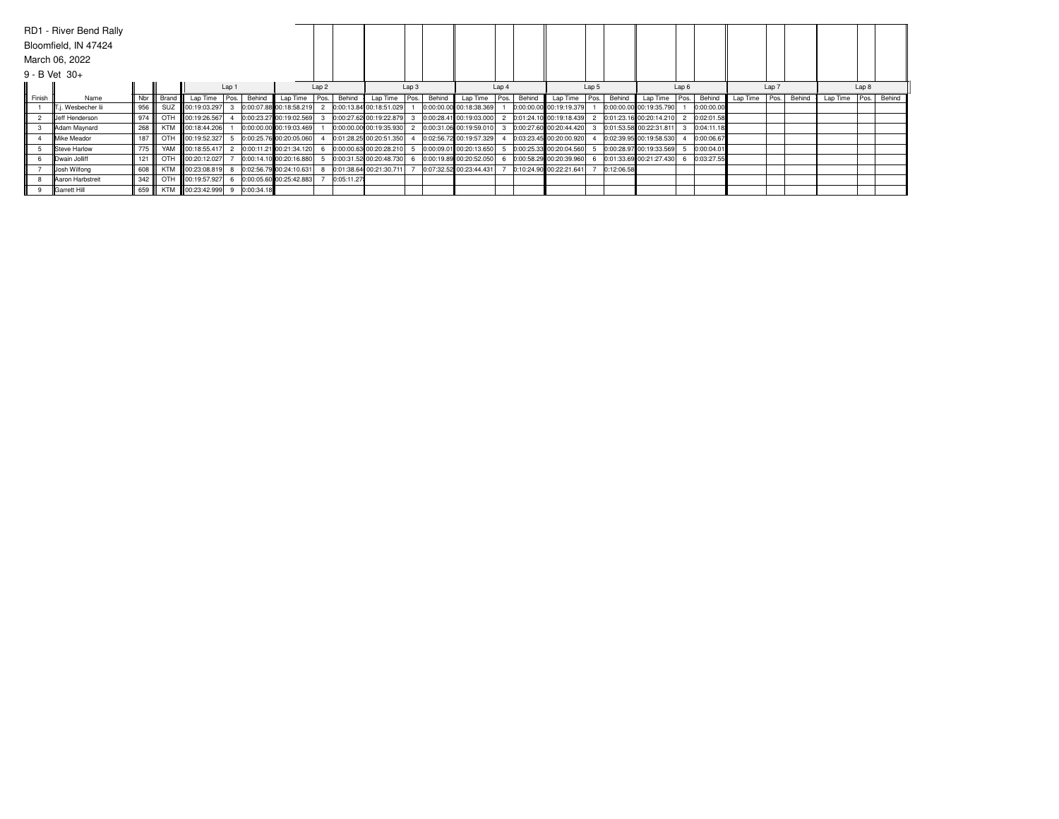|                    | RD1 - River Bend Rally |     |            |                   |       |            |                         |                  |            |                           |       |        |                         |       |        |                         |       |            |                           |                  |            |          |       |        |                 |       |        |
|--------------------|------------------------|-----|------------|-------------------|-------|------------|-------------------------|------------------|------------|---------------------------|-------|--------|-------------------------|-------|--------|-------------------------|-------|------------|---------------------------|------------------|------------|----------|-------|--------|-----------------|-------|--------|
|                    | Bloomfield, IN 47424   |     |            |                   |       |            |                         |                  |            |                           |       |        |                         |       |        |                         |       |            |                           |                  |            |          |       |        |                 |       |        |
|                    | March 06, 2022         |     |            |                   |       |            |                         |                  |            |                           |       |        |                         |       |        |                         |       |            |                           |                  |            |          |       |        |                 |       |        |
| $9 - B$ Vet $30 +$ |                        |     |            |                   |       |            |                         |                  |            |                           |       |        |                         |       |        |                         |       |            |                           |                  |            |          |       |        |                 |       |        |
|                    |                        |     |            |                   | Lap 1 |            |                         | Lap <sub>2</sub> |            |                           | Lap 3 |        |                         | Lap 4 |        |                         | Lap 5 |            |                           | Lap <sub>6</sub> |            |          | Lap 7 |        |                 | Lap 8 |        |
| Finish             | Name                   | Nbr | Brand      | Lap Time Pos.     |       | Behind     | Lap Time   Pos.         |                  | Behind     | Lap Time Pos.             |       | Behind | Lap Time Pos.           |       | Behind | Lap Time                | Pos.1 | Behind     | Lap Time Pos.             |                  | Behind     | Lap Time | Pos.  | Behind | Lap Time   Pos. |       | Behind |
|                    | . Wesbecher lii        | 956 | SUZ        | 00:19:03.297      |       |            | 0:00:07.88 00:18:58.219 |                  |            | 2 0:00:13.84 00:18:51.029 |       |        | 0:00:00.00 00:18:38.369 |       |        | 0:00:00.00 00:19:19.379 |       |            | 0:00:00.00 00:19:35.790   |                  | 0:00:00.00 |          |       |        |                 |       |        |
|                    | Ueff Henderson         | 974 |            | OTH 100:19:26.567 |       |            | 0:00:23.27 00:19:02.569 |                  |            | 0:00:27.62 00:19:22.879   |       |        | 0:00:28.41 00:19:03.000 |       |        | 0:01:24.10 00:19:18.439 |       |            | 0:01:23.16 00:20:14.210 2 |                  | 0:02:01.58 |          |       |        |                 |       |        |
|                    | Adam Maynard           | 268 | <b>KTM</b> | 00:18:44.206      |       |            | 0:00:00.00 00:19:03.469 |                  |            | 0:00:00.00 00:19:35.930   |       |        | 0:00:31.06 00:19:59.010 |       |        | 0:00:27.60 00:20:44.420 |       |            | 0:01:53.58 00:22:31.811   |                  | 0:04:11.18 |          |       |        |                 |       |        |
|                    | <b>IMike Meador</b>    | 187 |            | OTH 00:19:52.327  |       |            | 0:00:25.76 00:20:05.060 |                  |            | 0:01:28.25 00:20:51.350   |       |        | 0:02:56.72 00:19:57.329 |       |        | 0:03:23.45 00:20:00.920 |       |            | 0:02:39.95 00:19:58.530   |                  | 0:00:06.67 |          |       |        |                 |       |        |
|                    | <b>ISteve Harlow</b>   | 775 |            | YAM 00:18:55.417  |       |            | 0:00:11.21 00:21:34.120 |                  |            | 0:00:00.63 00:20:28.210   |       |        | 0:00:09.01 00:20:13.650 |       |        | 0:00:25.33 00:20:04.560 |       |            | 0:00:28.97 00:19:33.569   |                  | 0:00:04.01 |          |       |        |                 |       |        |
|                    | Dwain Jolliff          | 121 | OTH        | 00:20:12.027      |       |            | 0:00:14.10 00:20:16.880 |                  |            | 0:00:31.52 00:20:48.730   |       |        | 0:00:19.89 00:20:52.050 |       |        | 0:00:58.29 00:20:39.960 |       |            | 0:01:33.69 00:21:27.430 6 |                  | 0:03:27.55 |          |       |        |                 |       |        |
|                    | Josh Wilfong           | 608 | <b>KTM</b> | 00:23:08.819      |       |            | 0:02:56.79 00:24:10.631 |                  |            | 0:01:38.64 00:21:30.711   |       |        | 0:07:32.52 00:23:44.431 |       |        | 0:10:24.90 00:22:21.641 |       | 0:12:06.58 |                           |                  |            |          |       |        |                 |       |        |
|                    | Aaron Harbstreit       | 342 |            | OTH 00:19:57.927  |       |            | 0:00:05.60 00:25:42.883 |                  | 0:05:11.27 |                           |       |        |                         |       |        |                         |       |            |                           |                  |            |          |       |        |                 |       |        |
|                    | Garrett Hill           | 659 | <b>KTM</b> | 00:23:42.999      |       | 0:00:34.18 |                         |                  |            |                           |       |        |                         |       |        |                         |       |            |                           |                  |            |          |       |        |                 |       |        |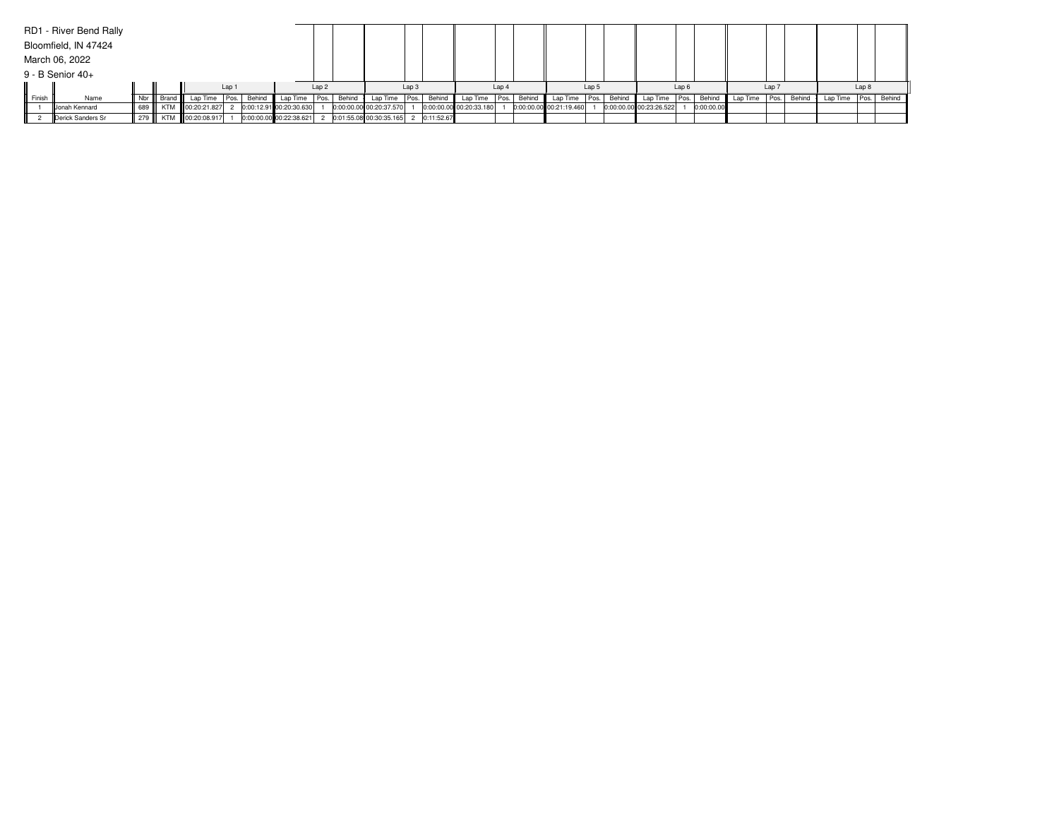|        | RD1 - River Bend Rally |     |            |                  |                  |        |                         |                  |        |                         |       |              |                         |       |        |                         |       |        |                         |                  |            |          |                  |        |                 |       |        |
|--------|------------------------|-----|------------|------------------|------------------|--------|-------------------------|------------------|--------|-------------------------|-------|--------------|-------------------------|-------|--------|-------------------------|-------|--------|-------------------------|------------------|------------|----------|------------------|--------|-----------------|-------|--------|
|        | Bloomfield, IN 47424   |     |            |                  |                  |        |                         |                  |        |                         |       |              |                         |       |        |                         |       |        |                         |                  |            |          |                  |        |                 |       |        |
|        | March 06, 2022         |     |            |                  |                  |        |                         |                  |        |                         |       |              |                         |       |        |                         |       |        |                         |                  |            |          |                  |        |                 |       |        |
|        | $9 - B$ Senior 40+     |     |            |                  |                  |        |                         |                  |        |                         |       |              |                         |       |        |                         |       |        |                         |                  |            |          |                  |        |                 |       |        |
|        |                        |     |            |                  | Lap <sub>1</sub> |        |                         | Lap <sub>2</sub> |        |                         | Lap 3 |              |                         | Lap 4 |        |                         | Lap 5 |        |                         | Lap <sub>6</sub> |            |          | Lap <sub>7</sub> |        |                 | Lap 8 |        |
| Finish | Name                   | Nbr | Brand III  | Lap Time Pos.    |                  | Behind | Lap Time   Pos.         |                  | Behind | Lap Time Pos. Behind    |       |              | Lap Time Pos.           |       | Behind | Lap Time   Pos.         |       | Behind | Lap Time   Pos.         |                  | Behind     | Lap Time | Pos.             | Behind | Lap Time   Pos. |       | Behind |
|        | <b>Jonah Kennard</b>   | 689 | <b>KTM</b> | 00:20:21.827     |                  |        | 0:00:12.91 00:20:30.630 |                  |        | 0:00:00.00 00:20:37.570 |       |              | 0:00:00.00 00:20:33.180 |       |        | 0:00:00.00 00:21:19.460 |       |        | 0:00:00.00 00:23:26.522 |                  | 0:00:00.00 |          |                  |        |                 |       |        |
|        | Derick Sanders Sr      | 279 |            | KTM 00:20:08.917 |                  |        | 0:00:00.00 00:22:38.621 |                  |        | 0:01:55.08 00:30:35.165 |       | 2 0:11:52.67 |                         |       |        |                         |       |        |                         |                  |            |          |                  |        |                 |       |        |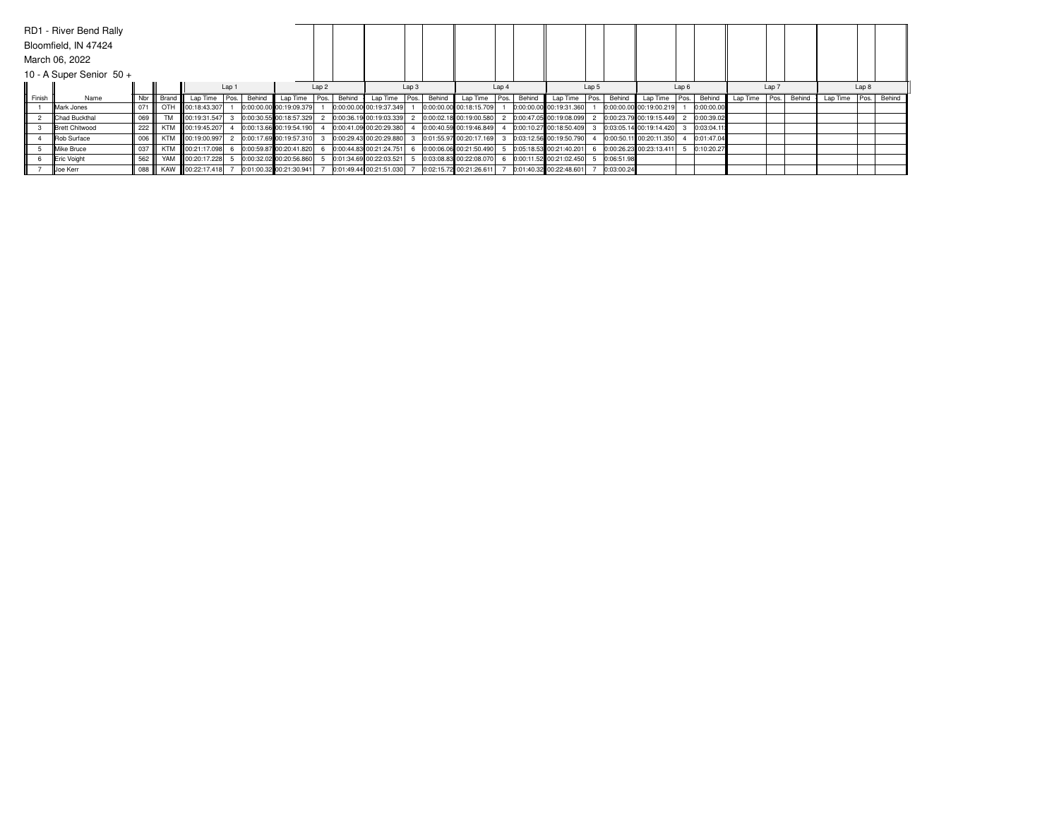|        | RD1 - River Bend Rally     |     |           |                   |                  |        |                         |                  |        |                         |                  |        |                         |       |        |                         |       |            |                         |                  |            |          |       |        |                 |       |        |
|--------|----------------------------|-----|-----------|-------------------|------------------|--------|-------------------------|------------------|--------|-------------------------|------------------|--------|-------------------------|-------|--------|-------------------------|-------|------------|-------------------------|------------------|------------|----------|-------|--------|-----------------|-------|--------|
|        | Bloomfield, IN 47424       |     |           |                   |                  |        |                         |                  |        |                         |                  |        |                         |       |        |                         |       |            |                         |                  |            |          |       |        |                 |       |        |
|        | March 06, 2022             |     |           |                   |                  |        |                         |                  |        |                         |                  |        |                         |       |        |                         |       |            |                         |                  |            |          |       |        |                 |       |        |
|        | 10 - A Super Senior $50 +$ |     |           |                   |                  |        |                         |                  |        |                         |                  |        |                         |       |        |                         |       |            |                         |                  |            |          |       |        |                 |       |        |
|        |                            |     |           |                   | Lap <sub>1</sub> |        |                         | Lap <sub>2</sub> |        |                         | Lap <sub>3</sub> |        |                         | Lap 4 |        |                         | Lap 5 |            |                         | Lap <sub>6</sub> |            |          | Lap 7 |        |                 | Lap 8 |        |
| Finish | Name                       | Nbr | Brand     | Lap Time   Pos.   |                  | Behind | Lap Time Pos.           |                  | Behind | Lap Time Pos.           |                  | Behind | Lap Time Pos.           |       | Behind | Lap Time   Pos.         |       | Behind     | Lap Time   Pos.         |                  | Behind     | Lap Time | Pos.  | Behind | Lap Time   Pos. |       | Behind |
|        | <b>IMark Jones</b>         | 071 | OTH       | 00:18:43.307      |                  |        | 0:00:00.00 00:19:09.379 |                  |        | 0:00:00.00 00:19:37.349 |                  |        | 0:00:00.00 00:18:15.709 |       |        | 0:00:00.00 00:19:31.360 |       |            | 0:00:00.00 00:19:00.219 |                  | 0:00:00.00 |          |       |        |                 |       |        |
|        | <b>Chad Buckthal</b>       | 069 | <b>TM</b> | 100:19:31.547     |                  |        | 0:00:30.55 00:18:57.329 |                  |        | 0:00:36.19 00:19:03.339 |                  |        | 0:00:02.18 00:19:00.580 |       |        | 0:00:47.05 00:19:08.099 |       |            | 0:00:23.79 00:19:15.449 |                  | 0:00:39.02 |          |       |        |                 |       |        |
|        | <b>Brett Chitwood</b>      | 222 |           | KTM 100:19:45.207 |                  |        | 0:00:13.66 00:19:54.190 |                  |        | 0:00:41.09 00:20:29.380 |                  |        | 0:00:40.59 00:19:46.849 |       |        | 0:00:10.27 00:18:50.409 |       |            | 0:03:05.14 00:19:14.420 |                  | 0:03:04.11 |          |       |        |                 |       |        |
|        | <b>Rob Surface</b>         | 006 |           | KTM 100:19:00.997 |                  |        | 0:00:17.69 00:19:57.310 |                  |        | 0:00:29.43 00:20:29.880 |                  |        | 0:01:55.97 00:20:17.169 |       |        | 0:03:12.56 00:19:50.790 |       |            | 0:00:50.11 00:20:11.350 |                  | 0:01:47.04 |          |       |        |                 |       |        |
|        | <b>IMike Bruce</b>         | 037 |           | KTM 100:21:17.098 |                  |        | 0:00:59.87 00:20:41.820 |                  |        | 0:00:44.83 00:21:24.751 |                  |        | 0:00:06.06 00:21:50.490 |       |        | 0:05:18.53 00:21:40.201 |       |            | 0:00:26.23 00:23:13.411 |                  | 0:10:20.27 |          |       |        |                 |       |        |
|        | <b>Eric Voight</b>         | 562 |           | YAM 100:20:17.228 |                  |        | 0:00:32.02 00:20:56.860 |                  |        | 0:01:34.69 00:22:03.521 |                  |        | 0:03:08.83 00:22:08.070 |       |        | 0:00:11.52 00:21:02.450 |       | 0:06:51.98 |                         |                  |            |          |       |        |                 |       |        |
|        | Joe Kerr                   | 088 |           | KAW 00:22:17.418  |                  |        | 0:01:00.32 00:21:30.941 |                  |        | 0:01:49.44 00:21:51.030 |                  |        | 0:02:15.72 00:21:26.611 |       |        | 0:01:40.32 00:22:48.601 |       | 0:03:00.24 |                         |                  |            |          |       |        |                 |       |        |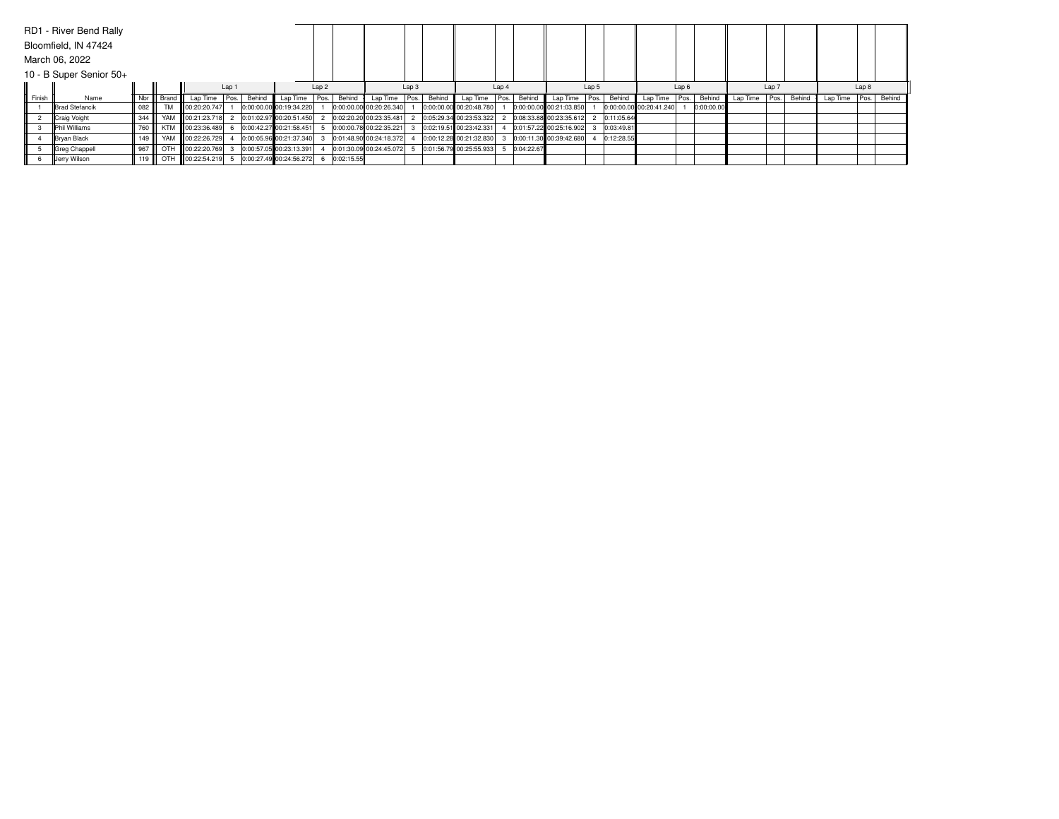|        | RD1 - River Bend Rally  |     |           |                   |                  |        |                         |                  |            |                         |       |        |                         |       |            |                         |       |            |                         |                  |            |          |       |        |                 |      |        |
|--------|-------------------------|-----|-----------|-------------------|------------------|--------|-------------------------|------------------|------------|-------------------------|-------|--------|-------------------------|-------|------------|-------------------------|-------|------------|-------------------------|------------------|------------|----------|-------|--------|-----------------|------|--------|
|        | Bloomfield, IN 47424    |     |           |                   |                  |        |                         |                  |            |                         |       |        |                         |       |            |                         |       |            |                         |                  |            |          |       |        |                 |      |        |
|        | March 06, 2022          |     |           |                   |                  |        |                         |                  |            |                         |       |        |                         |       |            |                         |       |            |                         |                  |            |          |       |        |                 |      |        |
|        | 10 - B Super Senior 50+ |     |           |                   |                  |        |                         |                  |            |                         |       |        |                         |       |            |                         |       |            |                         |                  |            |          |       |        |                 |      |        |
|        |                         |     |           |                   | Lap <sub>1</sub> |        |                         | Lap <sub>2</sub> |            |                         | Lap 3 |        |                         | Lap 4 |            |                         | Lap 5 |            |                         | Lap <sub>6</sub> |            |          | Lap 7 |        |                 | Lap8 |        |
| Finish | Name                    | Nbr | Brand III | Lap Time Pos.     |                  | Behind | Lap Time Pos.           |                  | Behind     | Lap Time                | Pos.  | Behind | Lap Time Pos.           |       | Behind     | Lap Time   Pos.         |       | Behind     | Lap Time   Pos.         |                  | Behind     | Lap Time | Pos.  | Behind | Lap Time   Pos. |      | Behind |
|        | <b>Brad Stefancik</b>   | 082 | <b>TM</b> | 00:20:20.747      |                  |        | 0:00:00.00 00:19:34.220 |                  |            | 0:00:00.00 00:20:26.340 |       |        | 0:00:00.00 00:20:48.780 |       |            | 0:00:00.00 00:21:03.850 |       |            | 0:00:00.00 00:20:41.240 |                  | 0:00:00.00 |          |       |        |                 |      |        |
|        | Craig Voight            | 344 |           | YAM 100:21:23.718 |                  |        | 0:01:02.97 00:20:51.450 |                  |            | 0:02:20.20 00:23:35.481 |       |        | 0:05:29.34 00:23:53.322 |       |            | 0:08:33.88 00:23:35.612 |       | 0:11:05.64 |                         |                  |            |          |       |        |                 |      |        |
|        | <b>IPhil Williams</b>   | 760 |           | KTM 100:23:36.489 |                  |        | 0:00:42.27 00:21:58.451 |                  |            | 0:00:00.78 00:22:35.221 |       |        | 0:02:19.51 00:23:42.331 |       |            | 0:01:57.22 00:25:16.902 |       | 0:03:49.81 |                         |                  |            |          |       |        |                 |      |        |
|        | <b>Bryan Black</b>      | 149 |           | YAM 00:22:26.729  |                  |        | 0:00:05.96 00:21:37.340 |                  |            | 0:01:48.90 00:24:18.372 |       |        | 0:00:12.28 00:21:32.830 |       |            | 0:00:11.30 00:39:42.680 |       | 0:12:28.55 |                         |                  |            |          |       |        |                 |      |        |
|        | Greg Chappell           | 967 |           | OTH 00:22:20.769  |                  |        | 0:00:57.05 00:23:13.391 |                  |            | 0:01:30.09 00:24:45.072 |       |        | 0:01:56.79 00:25:55.933 |       | 0:04:22.67 |                         |       |            |                         |                  |            |          |       |        |                 |      |        |
|        | Jerry Wilson            | 119 |           | OTH 00:22:54.219  |                  |        | 0:00:27.49 00:24:56.272 |                  | 0:02:15.55 |                         |       |        |                         |       |            |                         |       |            |                         |                  |            |          |       |        |                 |      |        |